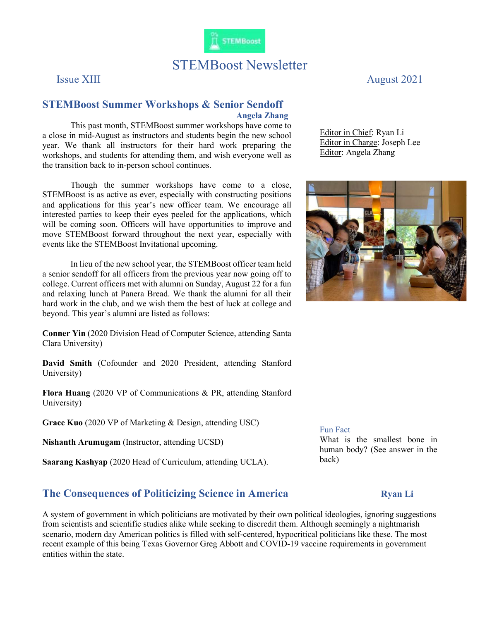

## STEMBoost Newsletter

## STEMBoost Summer Workshops & Senior Sendoff Angela Zhang

This past month, STEMBoost summer workshops have come to a close in mid-August as instructors and students begin the new school year. We thank all instructors for their hard work preparing the workshops, and students for attending them, and wish everyone well as the transition back to in-person school continues.

Though the summer workshops have come to a close, STEMBoost is as active as ever, especially with constructing positions and applications for this year's new officer team. We encourage all interested parties to keep their eyes peeled for the applications, which will be coming soon. Officers will have opportunities to improve and move STEMBoost forward throughout the next year, especially with events like the STEMBoost Invitational upcoming.

In lieu of the new school year, the STEMBoost officer team held a senior sendoff for all officers from the previous year now going off to college. Current officers met with alumni on Sunday, August 22 for a fun and relaxing lunch at Panera Bread. We thank the alumni for all their hard work in the club, and we wish them the best of luck at college and beyond. This year's alumni are listed as follows:

Conner Yin (2020 Division Head of Computer Science, attending Santa Clara University)

David Smith (Cofounder and 2020 President, attending Stanford University)

Flora Huang (2020 VP of Communications & PR, attending Stanford University)

Grace Kuo (2020 VP of Marketing & Design, attending USC)

Nishanth Arumugam (Instructor, attending UCSD)

Saarang Kashyap (2020 Head of Curriculum, attending UCLA).

## The Consequences of Politicizing Science in America Ryan Li

A system of government in which politicians are motivated by their own political ideologies, ignoring suggestions from scientists and scientific studies alike while seeking to discredit them. Although seemingly a nightmarish scenario, modern day American politics is filled with self-centered, hypocritical politicians like these. The most recent example of this being Texas Governor Greg Abbott and COVID-19 vaccine requirements in government entities within the state.

Issue XIII August 2021

Editor in Chief: Ryan Li Editor in Charge: Joseph Lee Editor: Angela Zhang



## Fun Fact

What is the smallest bone in human body? (See answer in the back)